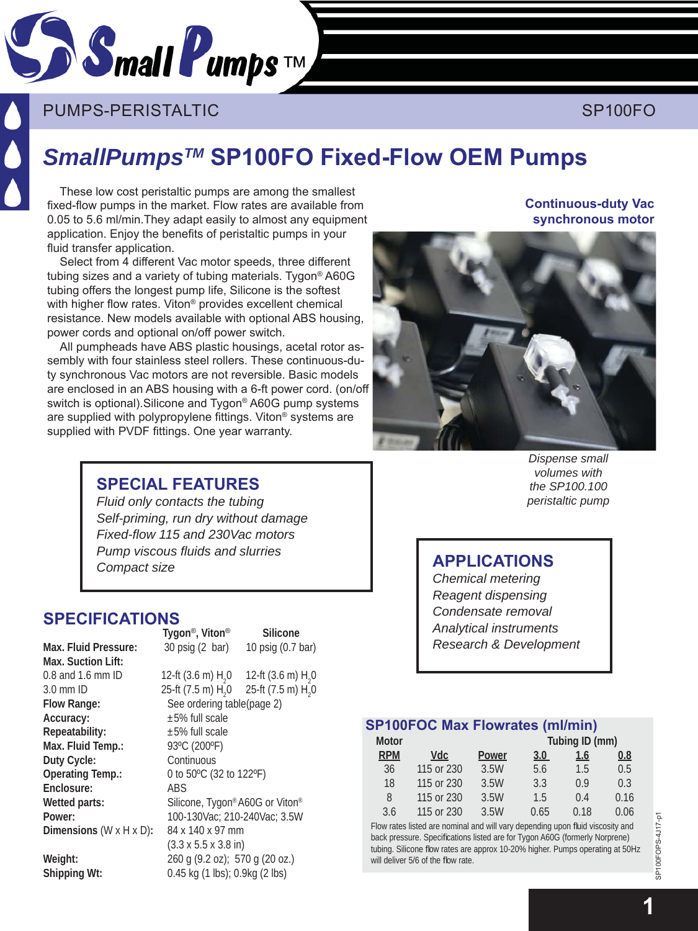

# PUMPS-PERISTALTIC ACCORDING TO THE RESERVE SP100FO

# *SmallPumpsTM* **SP100FO Fixed-Flow OEM Pumps**

These low cost peristaltic pumps are among the smallest fixed-flow pumps in the market. Flow rates are available from 0.05 to 5.6 ml/min.They adapt easily to almost any equipment application. Enjoy the benefits of peristaltic pumps in your fluid transfer application.

Select from 4 different Vac motor speeds, three different tubing sizes and a variety of tubing materials. Tygon® A60G tubing offers the longest pump life, Silicone is the softest with higher flow rates. Viton® provides excellent chemical resistance. New models available with optional ABS housing, power cords and optional on/off power switch.

All pumpheads have ABS plastic housings, acetal rotor assembly with four stainless steel rollers. These continuous-duty synchronous Vac motors are not reversible. Basic models are enclosed in an ABS housing with a 6-ft power cord. (on/off switch is optional).Silicone and Tygon® A60G pump systems are supplied with polypropylene fittings. Viton® systems are supplied with PVDF fittings. One year warranty.

## **Continuous-duty Vac synchronous motor**



# **SPE CIAL FEATURES**

*Fluid only contacts the tubing Self-priming, run dry without damage Fixed-fl ow 115 and 230Vac motors Pump vis cous fl uids and slur ries Compact size*

#### **SPECIFICATIONS Tygon**®**, Viton**® **Silicone**

**Max. Suction Lift:**  0.8 and 1.6 mm ID<br> $3.0$  mm ID 3.0 mm ID 25-ft (7.5 m)  $H_2$  P 25-ft (7.5 m)  $H_2$  P 25-ft (7.5 m) **Accuracy:** ±5% full scale **Repeatability:** ±5% full scale **Max. Fluid Temp.:** 93°C (200°F) **Duty Cycle:** Continuous **Operating Temp.:** 0 to 50ºC (32 to 122ºF) **Enclosure:** ABS **Dimensions** (W x H x D)**:** 84 x 140 x 97 mm **Weight:** 260 g (9.2 oz); 570 g (20 oz.)

**Max. Fluid Pressure:** 30 psig (2 bar) 10 psig (0.7 bar) 0 12-ft (3.6 m)  $H_2$ 0 0 25-ft (7.5 m)  $H_2$ 0 See ordering table(page 2) Wetted parts: Silicone, Tygon® A60G or Viton® **Power:** 100-130Vac; 210-240Vac; 3.5W (3.3 x 5.5 x 3.8 in) **Shipping Wt:** 0.45 kg (1 lbs); 0.9kg (2 lbs)

*Dispense small volumes with the SP100.100 peristaltic pump* 

# **APPLICATIONS**

*Chemical metering Reagent dispensing Condensate removal Analytical instruments Research & Development*

## **SP100FOC Max Flowrates (ml/min)**

| <b>Motor</b> |            |       | Tubing ID (mm) |      |      |  |
|--------------|------------|-------|----------------|------|------|--|
| <b>RPM</b>   | Vdc        | Power | 3.0            | 1.6  | 0.8  |  |
| 36           | 115 or 230 | 3.5W  | 5.6            | 1.5  | 0.5  |  |
| 18           | 115 or 230 | 3.5W  | 3.3            | 0.9  | 0.3  |  |
| 8            | 115 or 230 | 3.5W  | 1.5            | 0.4  | 0.16 |  |
| 3.6          | 115 or 230 | 3.5W  | 0.65           | 0.18 | 0.06 |  |

Flow rates listed are nominal and will vary depending upon fluid viscosity and back pressure. Specifications listed are for Tygon A60G (formerly Norprene) tubing. Silicone flow rates are approx 10-20% higher. Pumps operating at 50Hz will deliver 5/6 of the flow rate.